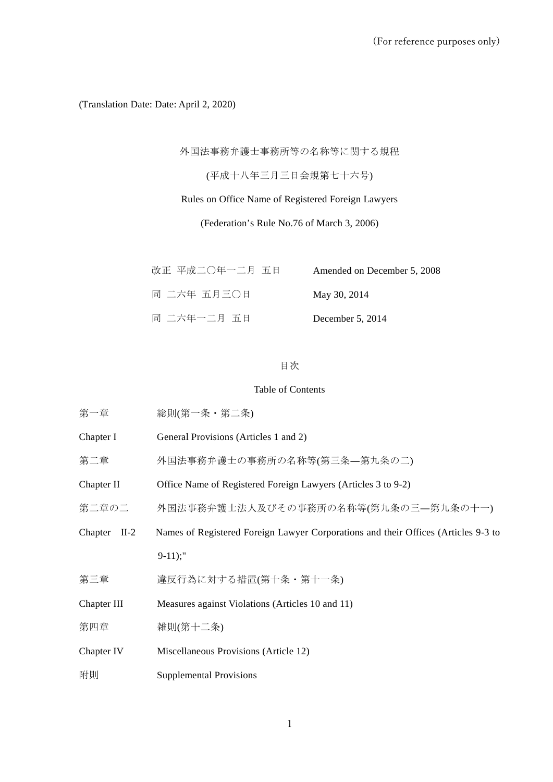(Translation Date: Date: April 2, 2020)

外国法事務弁護士事務所等の名称等に関する規程

(平成十八年三月三日会規第七十六号)

Rules on Office Name of Registered Foreign Lawyers

(Federation's Rule No.76 of March 3, 2006)

| 改正 平成二〇年一二月 五日 | Amended on December 5, 2008 |
|----------------|-----------------------------|
| 同 二六年 五月三〇日    | May 30, 2014                |
| 同 二六年一二月 五日    | December $5, 2014$          |

# 目次

## Table of Contents

| 第一章               | 総則(第一条・第二条)                                                                        |
|-------------------|------------------------------------------------------------------------------------|
| Chapter I         | General Provisions (Articles 1 and 2)                                              |
| 第二章               | 外国法事務弁護士の事務所の名称等(第三条–第九条の二)                                                        |
| Chapter II        | Office Name of Registered Foreign Lawyers (Articles 3 to 9-2)                      |
| 第二章の二             | 外国法事務弁護士法人及びその事務所の名称等(第九条の三―第九条の十一)                                                |
| Chapter<br>$II-2$ | Names of Registered Foreign Lawyer Corporations and their Offices (Articles 9-3 to |
|                   | $9-11$ ;"                                                                          |
| 第三章               | 違反行為に対する措置(第十条・第十一条)                                                               |
| Chapter III       | Measures against Violations (Articles 10 and 11)                                   |
| 第四章               | 雑則(第十二条)                                                                           |
| Chapter IV        | Miscellaneous Provisions (Article 12)                                              |
| 附則                | <b>Supplemental Provisions</b>                                                     |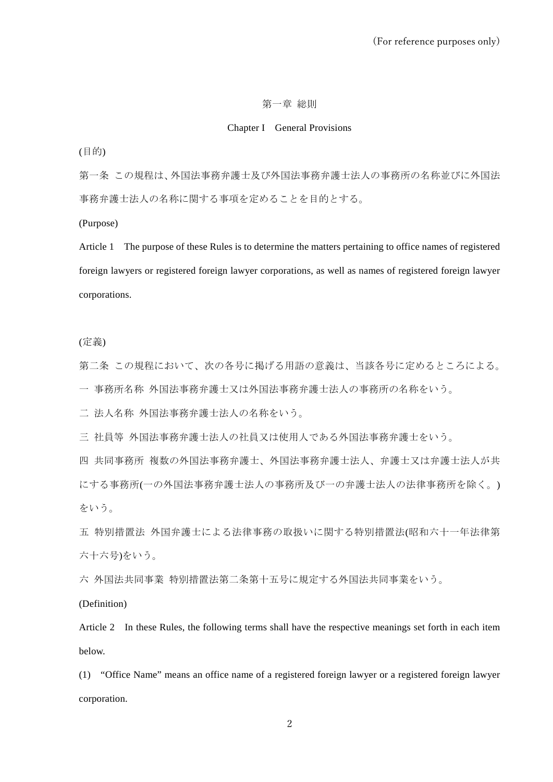#### 第一章 総則

# Chapter I General Provisions

(目的)

第一条 この規程は、外国法事務弁護士及び外国法事務弁護士法人の事務所の名称並びに外国法 事務弁護士法人の名称に関する事項を定めることを目的とする。

(Purpose)

Article 1 The purpose of these Rules is to determine the matters pertaining to office names of registered foreign lawyers or registered foreign lawyer corporations, as well as names of registered foreign lawyer corporations.

(定義)

第二条 この規程において、次の各号に掲げる用語の意義は、当該各号に定めるところによる。

一 事務所名称 外国法事務弁護士又は外国法事務弁護士法人の事務所の名称をいう。

二 法人名称 外国法事務弁護士法人の名称をいう。

三 社員等 外国法事務弁護士法人の社員又は使用人である外国法事務弁護士をいう。

四 共同事務所 複数の外国法事務弁護士、外国法事務弁護士法人、弁護士又は弁護士法人が共 にする事務所(一の外国法事務弁護士法人の事務所及び一の弁護士法人の法律事務所を除く。) をいう。

五 特別措置法 外国弁護士による法律事務の取扱いに関する特別措置法(昭和六十一年法律第 六十六号)をいう。

六 外国法共同事業 特別措置法第二条第十五号に規定する外国法共同事業をいう。

(Definition)

Article 2 In these Rules, the following terms shall have the respective meanings set forth in each item below.

(1) "Office Name" means an office name of a registered foreign lawyer or a registered foreign lawyer corporation.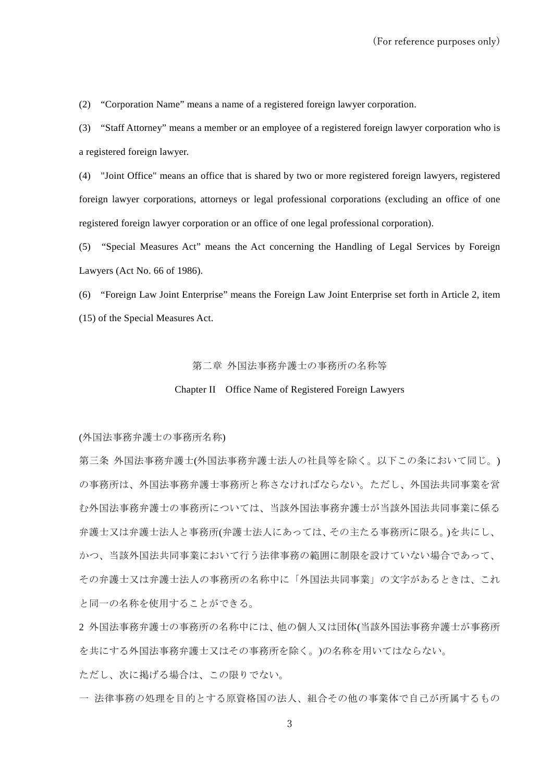(2) "Corporation Name" means a name of a registered foreign lawyer corporation.

(3) "Staff Attorney" means a member or an employee of a registered foreign lawyer corporation who is a registered foreign lawyer.

(4) "Joint Office" means an office that is shared by two or more registered foreign lawyers, registered foreign lawyer corporations, attorneys or legal professional corporations (excluding an office of one registered foreign lawyer corporation or an office of one legal professional corporation).

(5) "Special Measures Act" means the Act concerning the Handling of Legal Services by Foreign Lawyers (Act No. 66 of 1986).

(6) "Foreign Law Joint Enterprise" means the Foreign Law Joint Enterprise set forth in Article 2, item (15) of the Special Measures Act.

#### 第二章 外国法事務弁護士の事務所の名称等

#### Chapter II Office Name of Registered Foreign Lawyers

(外国法事務弁護士の事務所名称)

第三条 外国法事務弁護士(外国法事務弁護士法人の社員等を除く。以下この条において同じ。) の事務所は、外国法事務弁護士事務所と称さなければならない。ただし、外国法共同事業を営 む外国法事務弁護士の事務所については、当該外国法事務弁護士が当該外国法共同事業に係る 弁護士又は弁護士法人と事務所(弁護士法人にあっては、その主たる事務所に限る。)を共にし、 かつ、当該外国法共同事業において行う法律事務の範囲に制限を設けていない場合であって、 その弁護士又は弁護士法人の事務所の名称中に「外国法共同事業」の文字があるときは、これ と同一の名称を使用することができる。

2 外国法事務弁護士の事務所の名称中には、他の個人又は団体(当該外国法事務弁護士が事務所 を共にする外国法事務弁護士又はその事務所を除く。)の名称を用いてはならない。 ただし、次に掲げる場合は、この限りでない。

一 法律事務の処理を目的とする原資格国の法人、組合その他の事業体で自己が所属するもの

3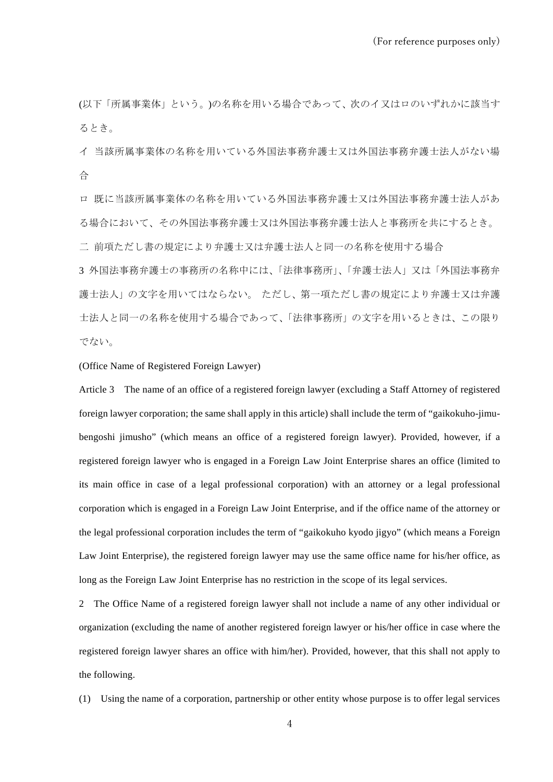(以下「所属事業体」という。)の名称を用いる場合であって、次のイ又はロのいずれかに該当す るとき。

イ 当該所属事業体の名称を用いている外国法事務弁護士又は外国法事務弁護士法人がない場 合

ロ 既に当該所属事業体の名称を用いている外国法事務弁護士又は外国法事務弁護士法人があ る場合において、その外国法事務弁護士又は外国法事務弁護士法人と事務所を共にするとき。 二 前項ただし書の規定により弁護士又は弁護士法人と同一の名称を使用する場合

3 外国法事務弁護士の事務所の名称中には、「法律事務所」、「弁護士法人」又は「外国法事務弁 護士法人」の文字を用いてはならない。 ただし、第一項ただし書の規定により弁護士又は弁護 士法人と同一の名称を使用する場合であって、「法律事務所」の文字を用いるときは、この限り でない。

(Office Name of Registered Foreign Lawyer)

Article 3 The name of an office of a registered foreign lawyer (excluding a Staff Attorney of registered foreign lawyer corporation; the same shall apply in this article) shall include the term of "gaikokuho-jimubengoshi jimusho" (which means an office of a registered foreign lawyer). Provided, however, if a registered foreign lawyer who is engaged in a Foreign Law Joint Enterprise shares an office (limited to its main office in case of a legal professional corporation) with an attorney or a legal professional corporation which is engaged in a Foreign Law Joint Enterprise, and if the office name of the attorney or the legal professional corporation includes the term of "gaikokuho kyodo jigyo" (which means a Foreign Law Joint Enterprise), the registered foreign lawyer may use the same office name for his/her office, as long as the Foreign Law Joint Enterprise has no restriction in the scope of its legal services.

2 The Office Name of a registered foreign lawyer shall not include a name of any other individual or organization (excluding the name of another registered foreign lawyer or his/her office in case where the registered foreign lawyer shares an office with him/her). Provided, however, that this shall not apply to the following.

(1) Using the name of a corporation, partnership or other entity whose purpose is to offer legal services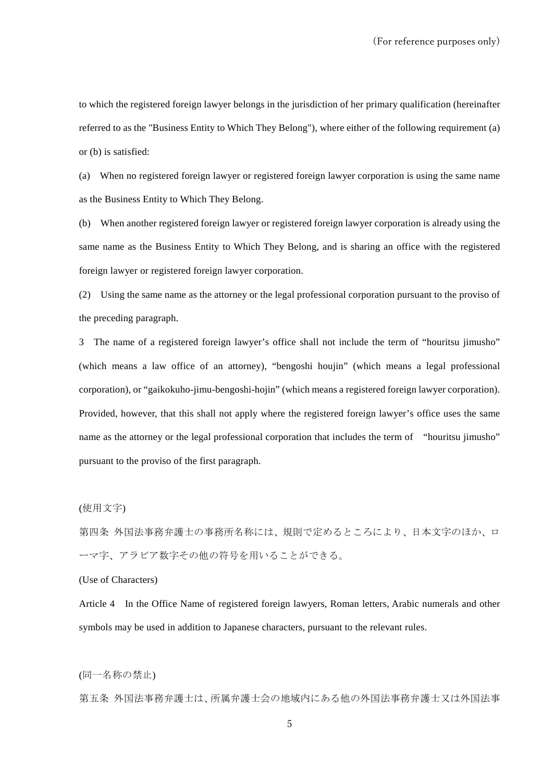to which the registered foreign lawyer belongs in the jurisdiction of her primary qualification (hereinafter referred to as the "Business Entity to Which They Belong"), where either of the following requirement (a) or (b) is satisfied:

(a) When no registered foreign lawyer or registered foreign lawyer corporation is using the same name as the Business Entity to Which They Belong.

(b) When another registered foreign lawyer or registered foreign lawyer corporation is already using the same name as the Business Entity to Which They Belong, and is sharing an office with the registered foreign lawyer or registered foreign lawyer corporation.

(2) Using the same name as the attorney or the legal professional corporation pursuant to the proviso of the preceding paragraph.

3 The name of a registered foreign lawyer's office shall not include the term of "houritsu jimusho" (which means a law office of an attorney), "bengoshi houjin" (which means a legal professional corporation), or "gaikokuho-jimu-bengoshi-hojin" (which means a registered foreign lawyer corporation). Provided, however, that this shall not apply where the registered foreign lawyer's office uses the same name as the attorney or the legal professional corporation that includes the term of "houritsu jimusho" pursuant to the proviso of the first paragraph.

(使用文字)

第四条 外国法事務弁護士の事務所名称には、規則で定めるところにより、日本文字のほか、ロ ーマ字、アラビア数字その他の符号を用いることができる。

(Use of Characters)

Article 4 In the Office Name of registered foreign lawyers, Roman letters, Arabic numerals and other symbols may be used in addition to Japanese characters, pursuant to the relevant rules.

(同一名称の禁止)

第五条 外国法事務弁護士は、所属弁護士会の地域内にある他の外国法事務弁護士又は外国法事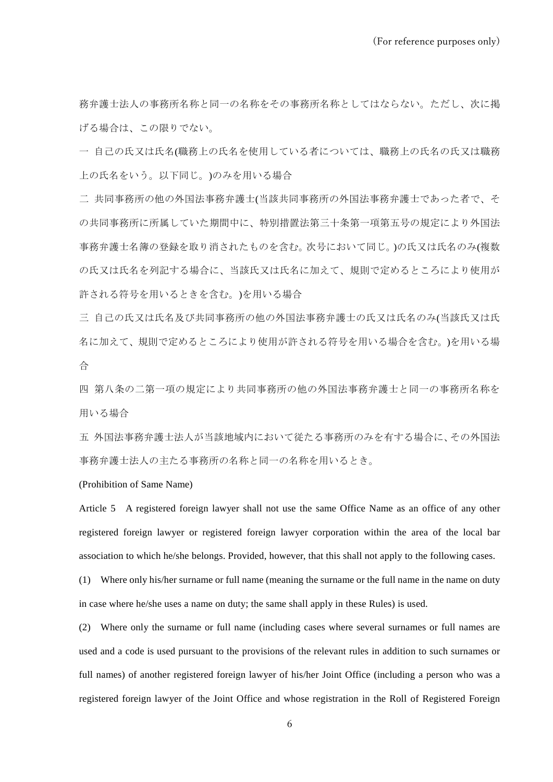務弁護士法人の事務所名称と同一の名称をその事務所名称としてはならない。ただし、次に掲 げる場合は、この限りでない。

一 自己の氏又は氏名(職務上の氏名を使用している者については、職務上の氏名の氏又は職務 上の氏名をいう。以下同じ。)のみを用いる場合

二 共同事務所の他の外国法事務弁護士(当該共同事務所の外国法事務弁護士であった者で、そ の共同事務所に所属していた期間中に、特別措置法第三十条第一項第五号の規定により外国法 事務弁護士名簿の登録を取り消されたものを含む。次号において同じ。)の氏又は氏名のみ(複数 の氏又は氏名を列記する場合に、当該氏又は氏名に加えて、規則で定めるところにより使用が 許される符号を用いるときを含む。)を用いる場合

三 自己の氏又は氏名及び共同事務所の他の外国法事務弁護士の氏又は氏名のみ(当該氏又は氏 名に加えて、規則で定めるところにより使用が許される符号を用いる場合を含む。)を用いる場 合

四 第八条の二第一項の規定により共同事務所の他の外国法事務弁護士と同一の事務所名称を 用いる場合

五 外国法事務弁護士法人が当該地域内において従たる事務所のみを有する場合に、その外国法 事務弁護士法人の主たる事務所の名称と同一の名称を用いるとき。

(Prohibition of Same Name)

Article 5 A registered foreign lawyer shall not use the same Office Name as an office of any other registered foreign lawyer or registered foreign lawyer corporation within the area of the local bar association to which he/she belongs. Provided, however, that this shall not apply to the following cases.

(1) Where only his/her surname or full name (meaning the surname or the full name in the name on duty in case where he/she uses a name on duty; the same shall apply in these Rules) is used.

(2) Where only the surname or full name (including cases where several surnames or full names are used and a code is used pursuant to the provisions of the relevant rules in addition to such surnames or full names) of another registered foreign lawyer of his/her Joint Office (including a person who was a registered foreign lawyer of the Joint Office and whose registration in the Roll of Registered Foreign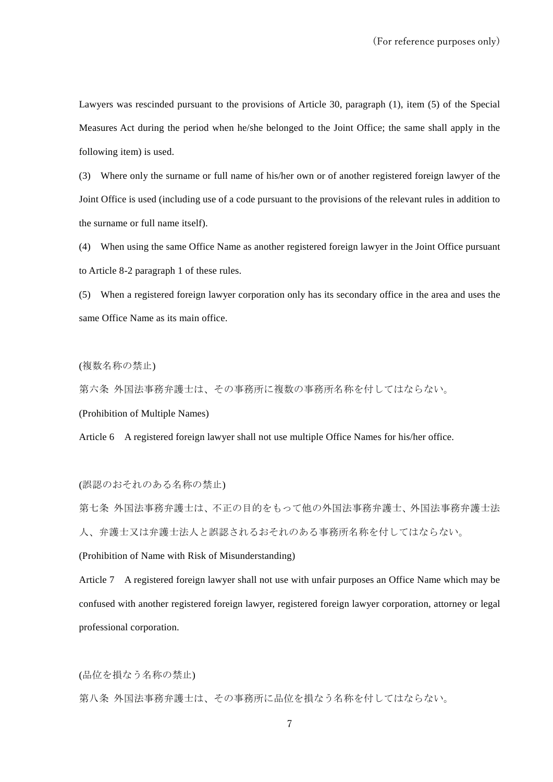Lawyers was rescinded pursuant to the provisions of Article 30, paragraph (1), item (5) of the Special Measures Act during the period when he/she belonged to the Joint Office; the same shall apply in the following item) is used.

(3) Where only the surname or full name of his/her own or of another registered foreign lawyer of the Joint Office is used (including use of a code pursuant to the provisions of the relevant rules in addition to the surname or full name itself).

(4) When using the same Office Name as another registered foreign lawyer in the Joint Office pursuant to Article 8-2 paragraph 1 of these rules.

(5) When a registered foreign lawyer corporation only has its secondary office in the area and uses the same Office Name as its main office.

(複数名称の禁止)

第六条 外国法事務弁護士は、その事務所に複数の事務所名称を付してはならない。

(Prohibition of Multiple Names)

Article 6 A registered foreign lawyer shall not use multiple Office Names for his/her office.

(誤認のおそれのある名称の禁止)

第七条 外国法事務弁護士は、不正の目的をもって他の外国法事務弁護士、外国法事務弁護士法 人、弁護士又は弁護士法人と誤認されるおそれのある事務所名称を付してはならない。

(Prohibition of Name with Risk of Misunderstanding)

Article 7 A registered foreign lawyer shall not use with unfair purposes an Office Name which may be confused with another registered foreign lawyer, registered foreign lawyer corporation, attorney or legal professional corporation.

(品位を損なう名称の禁止)

第八条 外国法事務弁護士は、その事務所に品位を損なう名称を付してはならない。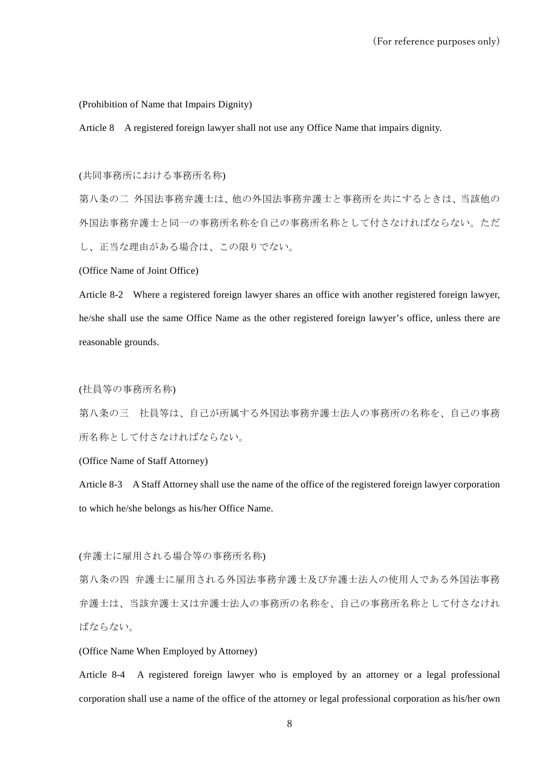(Prohibition of Name that Impairs Dignity)

Article 8 A registered foreign lawyer shall not use any Office Name that impairs dignity.

(共同事務所における事務所名称)

第八条の二 外国法事務弁護士は、他の外国法事務弁護士と事務所を共にするときは、当該他の 外国法事務弁護士と同一の事務所名称を自己の事務所名称として付さなければならない。ただ し、正当な理由がある場合は、この限りでない。

(Office Name of Joint Office)

Article 8-2 Where a registered foreign lawyer shares an office with another registered foreign lawyer, he/she shall use the same Office Name as the other registered foreign lawyer's office, unless there are reasonable grounds.

(社員等の事務所名称)

第八条の三 社員等は、自己が所属する外国法事務弁護士法人の事務所の名称を、自己の事務 所名称として付さなければならない。

(Office Name of Staff Attorney)

Article 8-3 A Staff Attorney shall use the name of the office of the registered foreign lawyer corporation to which he/she belongs as his/her Office Name.

(弁護士に雇用される場合等の事務所名称)

第八条の四 弁護士に雇用される外国法事務弁護士及び弁護士法人の使用人である外国法事務 弁護士は、当該弁護士又は弁護士法人の事務所の名称を、自己の事務所名称として付さなけれ ばならない。

(Office Name When Employed by Attorney)

Article 8-4 A registered foreign lawyer who is employed by an attorney or a legal professional corporation shall use a name of the office of the attorney or legal professional corporation as his/her own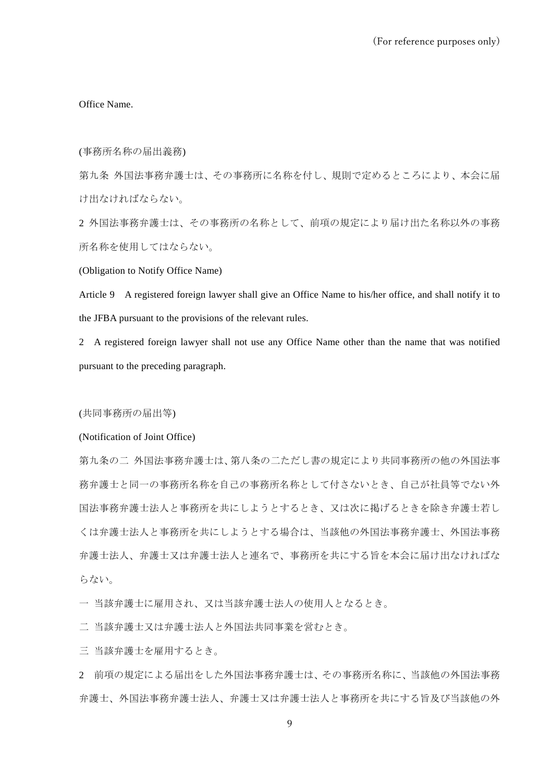Office Name.

(事務所名称の届出義務)

第九条 外国法事務弁護士は、その事務所に名称を付し、規則で定めるところにより、本会に届 け出なければならない。

2 外国法事務弁護士は、その事務所の名称として、前項の規定により届け出た名称以外の事務 所名称を使用してはならない。

(Obligation to Notify Office Name)

Article 9 A registered foreign lawyer shall give an Office Name to his/her office, and shall notify it to the JFBA pursuant to the provisions of the relevant rules.

2 A registered foreign lawyer shall not use any Office Name other than the name that was notified pursuant to the preceding paragraph.

(共同事務所の届出等)

(Notification of Joint Office)

第九条の二 外国法事務弁護士は、第八条の二ただし書の規定により共同事務所の他の外国法事 務弁護士と同一の事務所名称を自己の事務所名称として付さないとき、自己が社員等でない外 国法事務弁護士法人と事務所を共にしようとするとき、又は次に掲げるときを除き弁護士若し くは弁護士法人と事務所を共にしようとする場合は、当該他の外国法事務弁護士、外国法事務 弁護士法人、弁護士又は弁護士法人と連名で、事務所を共にする旨を本会に届け出なければな らない。

一 当該弁護士に雇用され、又は当該弁護士法人の使用人となるとき。

二 当該弁護士又は弁護士法人と外国法共同事業を営むとき。

三 当該弁護士を雇用するとき。

2 前項の規定による届出をした外国法事務弁護士は、その事務所名称に、当該他の外国法事務 弁護士、外国法事務弁護士法人、弁護士又は弁護士法人と事務所を共にする旨及び当該他の外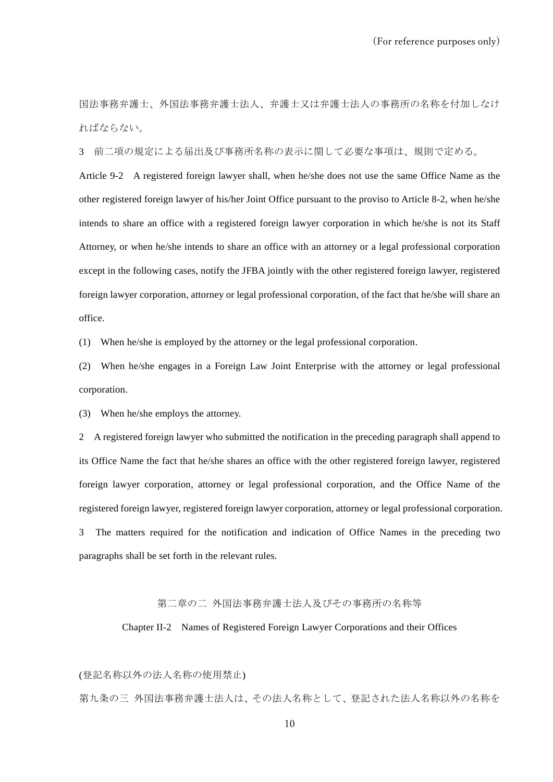国法事務弁護士、外国法事務弁護士法人、弁護士又は弁護士法人の事務所の名称を付加しなけ ればならない。

3 前二項の規定による届出及び事務所名称の表示に関して必要な事項は、規則で定める。

Article 9-2 A registered foreign lawyer shall, when he/she does not use the same Office Name as the other registered foreign lawyer of his/her Joint Office pursuant to the proviso to Article 8-2, when he/she intends to share an office with a registered foreign lawyer corporation in which he/she is not its Staff Attorney, or when he/she intends to share an office with an attorney or a legal professional corporation except in the following cases, notify the JFBA jointly with the other registered foreign lawyer, registered foreign lawyer corporation, attorney or legal professional corporation, of the fact that he/she will share an office.

(1) When he/she is employed by the attorney or the legal professional corporation.

(2) When he/she engages in a Foreign Law Joint Enterprise with the attorney or legal professional corporation.

(3) When he/she employs the attorney.

2 A registered foreign lawyer who submitted the notification in the preceding paragraph shall append to its Office Name the fact that he/she shares an office with the other registered foreign lawyer, registered foreign lawyer corporation, attorney or legal professional corporation, and the Office Name of the registered foreign lawyer, registered foreign lawyer corporation, attorney or legal professional corporation. 3 The matters required for the notification and indication of Office Names in the preceding two paragraphs shall be set forth in the relevant rules.

#### 第二章の二 外国法事務弁護士法人及びその事務所の名称等

Chapter II-2 Names of Registered Foreign Lawyer Corporations and their Offices

(登記名称以外の法人名称の使用禁止)

第九条の三 外国法事務弁護士法人は、その法人名称として、登記された法人名称以外の名称を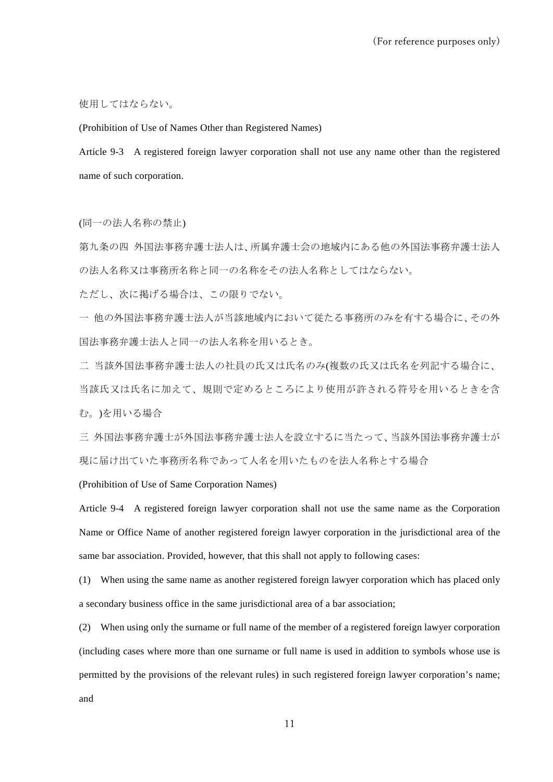使用してはならない。

(Prohibition of Use of Names Other than Registered Names)

Article 9-3 A registered foreign lawyer corporation shall not use any name other than the registered name of such corporation.

(同一の法人名称の禁止)

第九条の四 外国法事務弁護士法人は、所属弁護士会の地域内にある他の外国法事務弁護士法人 の法人名称又は事務所名称と同一の名称をその法人名称としてはならない。

ただし、次に掲げる場合は、この限りでない。

一 他の外国法事務弁護士法人が当該地域内において従たる事務所のみを有する場合に、その外 国法事務弁護士法人と同一の法人名称を用いるとき。

二 当該外国法事務弁護士法人の社員の氏又は氏名のみ(複数の氏又は氏名を列記する場合に、

当該氏又は氏名に加えて、規則で定めるところにより使用が許される符号を用いるときを含 む。)を用いる場合

三 外国法事務弁護士が外国法事務弁護士法人を設立するに当たって、当該外国法事務弁護士が 現に届け出ていた事務所名称であって人名を用いたものを法人名称とする場合

(Prohibition of Use of Same Corporation Names)

Article 9-4 A registered foreign lawyer corporation shall not use the same name as the Corporation Name or Office Name of another registered foreign lawyer corporation in the jurisdictional area of the same bar association. Provided, however, that this shall not apply to following cases:

(1) When using the same name as another registered foreign lawyer corporation which has placed only a secondary business office in the same jurisdictional area of a bar association;

(2) When using only the surname or full name of the member of a registered foreign lawyer corporation (including cases where more than one surname or full name is used in addition to symbols whose use is permitted by the provisions of the relevant rules) in such registered foreign lawyer corporation's name; and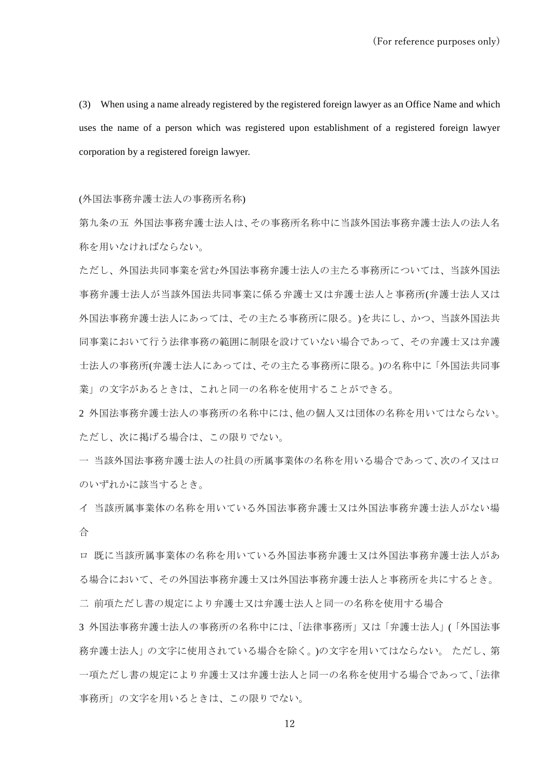(3) When using a name already registered by the registered foreign lawyer as an Office Name and which uses the name of a person which was registered upon establishment of a registered foreign lawyer corporation by a registered foreign lawyer.

(外国法事務弁護士法人の事務所名称)

第九条の五 外国法事務弁護士法人は、その事務所名称中に当該外国法事務弁護士法人の法人名 称を用いなければならない。

ただし、外国法共同事業を営む外国法事務弁護士法人の主たる事務所については、当該外国法 事務弁護士法人が当該外国法共同事業に係る弁護士又は弁護士法人と事務所(弁護士法人又は 外国法事務弁護士法人にあっては、その主たる事務所に限る。)を共にし、かつ、当該外国法共 同事業において行う法律事務の範囲に制限を設けていない場合であって、その弁護士又は弁護 士法人の事務所(弁護士法人にあっては、その主たる事務所に限る。)の名称中に「外国法共同事 業」の文字があるときは、これと同一の名称を使用することができる。

2 外国法事務弁護士法人の事務所の名称中には、他の個人又は団体の名称を用いてはならない。 ただし、次に掲げる場合は、この限りでない。

一 当該外国法事務弁護士法人の社員の所属事業体の名称を用いる場合であって、次のイ又はロ のいずれかに該当するとき。

イ 当該所属事業体の名称を用いている外国法事務弁護士又は外国法事務弁護士法人がない場 合

ロ 既に当該所属事業体の名称を用いている外国法事務弁護士又は外国法事務弁護士法人があ る場合において、その外国法事務弁護士又は外国法事務弁護士法人と事務所を共にするとき。

二 前項ただし書の規定により弁護士又は弁護士法人と同一の名称を使用する場合

3 外国法事務弁護士法人の事務所の名称中には、「法律事務所」又は「弁護士法人」(「外国法事 務弁護士法人」の文字に使用されている場合を除く。)の文字を用いてはならない。 ただし、第 一項ただし書の規定により弁護士又は弁護士法人と同一の名称を使用する場合であって、「法律 事務所」の文字を用いるときは、この限りでない。

12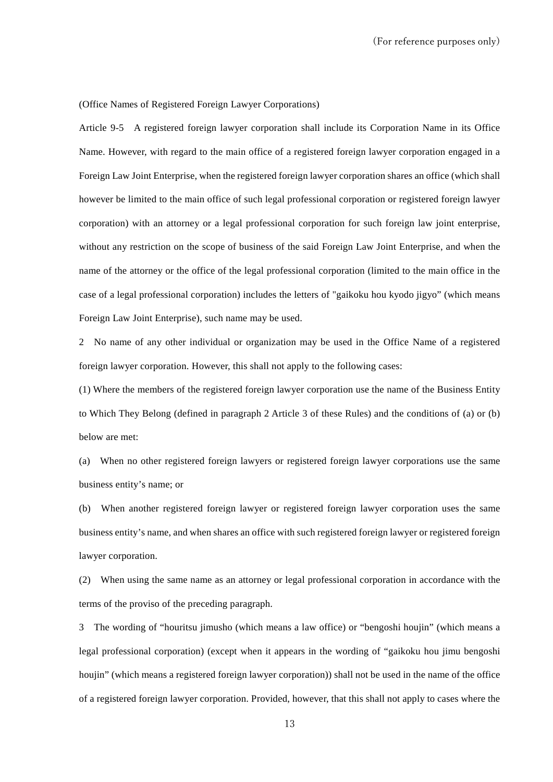(Office Names of Registered Foreign Lawyer Corporations)

Article 9-5 A registered foreign lawyer corporation shall include its Corporation Name in its Office Name. However, with regard to the main office of a registered foreign lawyer corporation engaged in a Foreign Law Joint Enterprise, when the registered foreign lawyer corporation shares an office (which shall however be limited to the main office of such legal professional corporation or registered foreign lawyer corporation) with an attorney or a legal professional corporation for such foreign law joint enterprise, without any restriction on the scope of business of the said Foreign Law Joint Enterprise, and when the name of the attorney or the office of the legal professional corporation (limited to the main office in the case of a legal professional corporation) includes the letters of "gaikoku hou kyodo jigyo" (which means Foreign Law Joint Enterprise), such name may be used.

2 No name of any other individual or organization may be used in the Office Name of a registered foreign lawyer corporation. However, this shall not apply to the following cases:

(1) Where the members of the registered foreign lawyer corporation use the name of the Business Entity to Which They Belong (defined in paragraph 2 Article 3 of these Rules) and the conditions of (a) or (b) below are met:

(a) When no other registered foreign lawyers or registered foreign lawyer corporations use the same business entity's name; or

(b) When another registered foreign lawyer or registered foreign lawyer corporation uses the same business entity's name, and when shares an office with such registered foreign lawyer or registered foreign lawyer corporation.

(2) When using the same name as an attorney or legal professional corporation in accordance with the terms of the proviso of the preceding paragraph.

3 The wording of "houritsu jimusho (which means a law office) or "bengoshi houjin" (which means a legal professional corporation) (except when it appears in the wording of "gaikoku hou jimu bengoshi houjin" (which means a registered foreign lawyer corporation)) shall not be used in the name of the office of a registered foreign lawyer corporation. Provided, however, that this shall not apply to cases where the

13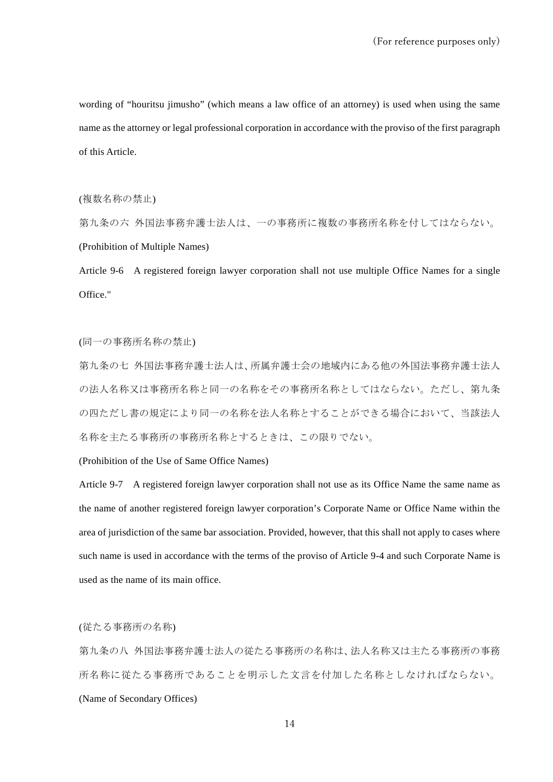wording of "houritsu jimusho" (which means a law office of an attorney) is used when using the same name as the attorney or legal professional corporation in accordance with the proviso of the first paragraph of this Article.

(複数名称の禁止)

第九条の六 外国法事務弁護士法人は、一の事務所に複数の事務所名称を付してはならない。 (Prohibition of Multiple Names)

Article 9-6 A registered foreign lawyer corporation shall not use multiple Office Names for a single Office."

(同一の事務所名称の禁止)

第九条の七 外国法事務弁護士法人は、所属弁護士会の地域内にある他の外国法事務弁護士法人 の法人名称又は事務所名称と同一の名称をその事務所名称としてはならない。ただし、第九条 の四ただし書の規定により同一の名称を法人名称とすることができる場合において、当該法人 名称を主たる事務所の事務所名称とするときは、この限りでない。

(Prohibition of the Use of Same Office Names)

Article 9-7 A registered foreign lawyer corporation shall not use as its Office Name the same name as the name of another registered foreign lawyer corporation's Corporate Name or Office Name within the area of jurisdiction of the same bar association. Provided, however, that this shall not apply to cases where such name is used in accordance with the terms of the proviso of Article 9-4 and such Corporate Name is used as the name of its main office.

(従たる事務所の名称)

第九条の八 外国法事務弁護士法人の従たる事務所の名称は、法人名称又は主たる事務所の事務 所名称に従たる事務所であることを明示した文言を付加した名称としなければならない。 (Name of Secondary Offices)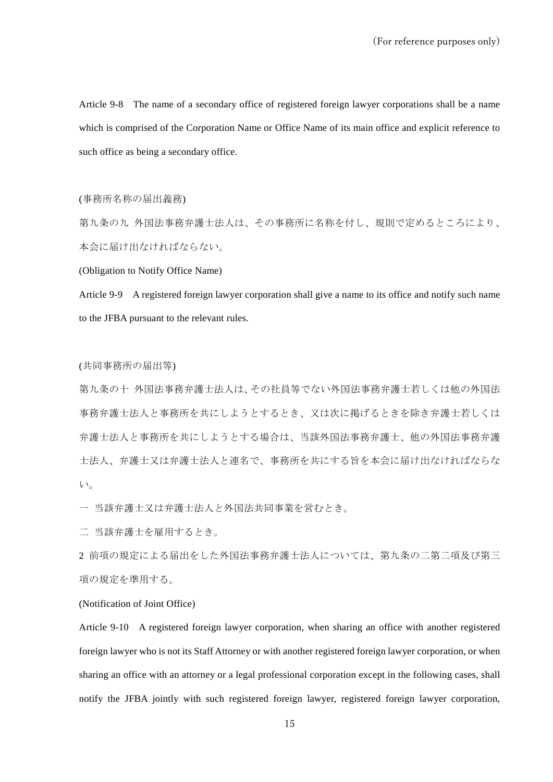Article 9-8 The name of a secondary office of registered foreign lawyer corporations shall be a name which is comprised of the Corporation Name or Office Name of its main office and explicit reference to such office as being a secondary office.

#### (事務所名称の届出義務)

第九条の九 外国法事務弁護士法人は、その事務所に名称を付し、規則で定めるところにより、 本会に届け出なければならない。

(Obligation to Notify Office Name)

Article 9-9 A registered foreign lawyer corporation shall give a name to its office and notify such name to the JFBA pursuant to the relevant rules.

## (共同事務所の届出等)

第九条の十 外国法事務弁護士法人は、その社員等でない外国法事務弁護士若しくは他の外国法 事務弁護士法人と事務所を共にしようとするとき、又は次に掲げるときを除き弁護士若しくは 弁護士法人と事務所を共にしようとする場合は、当該外国法事務弁護士、他の外国法事務弁護 士法人、弁護士又は弁護士法人と連名で、事務所を共にする旨を本会に届け出なければならな い。

一 当該弁護士又は弁護士法人と外国法共同事業を営むとき。

二 当該弁護士を雇用するとき。

2 前項の規定による届出をした外国法事務弁護士法人については、第九条の二第二項及び第三 項の規定を準用する。

(Notification of Joint Office)

Article 9-10 A registered foreign lawyer corporation, when sharing an office with another registered foreign lawyer who is not its Staff Attorney or with another registered foreign lawyer corporation, or when sharing an office with an attorney or a legal professional corporation except in the following cases, shall notify the JFBA jointly with such registered foreign lawyer, registered foreign lawyer corporation,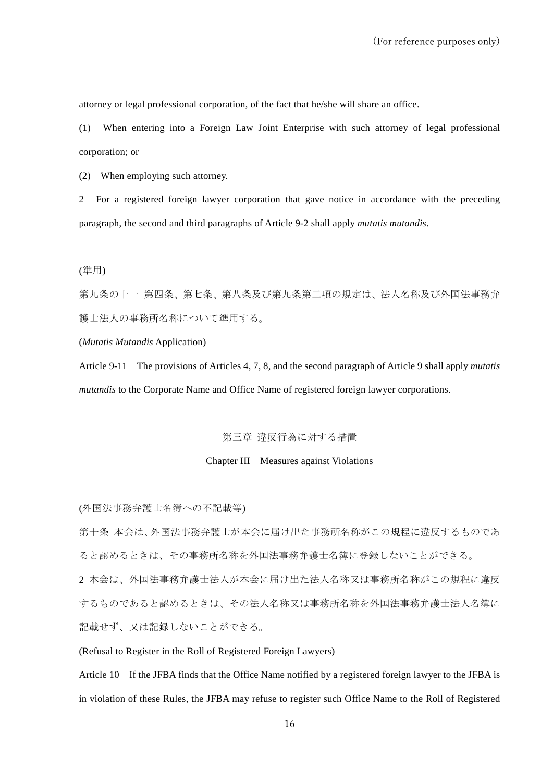attorney or legal professional corporation, of the fact that he/she will share an office.

(1) When entering into a Foreign Law Joint Enterprise with such attorney of legal professional corporation; or

(2) When employing such attorney.

2 For a registered foreign lawyer corporation that gave notice in accordance with the preceding paragraph, the second and third paragraphs of Article 9-2 shall apply *mutatis mutandis*.

## (準用)

第九条の十一 第四条、第七条、第八条及び第九条第二項の規定は、法人名称及び外国法事務弁 護士法人の事務所名称について準用する。

(*Mutatis Mutandis* Application)

Article 9-11 The provisions of Articles 4, 7, 8, and the second paragraph of Article 9 shall apply *mutatis mutandis* to the Corporate Name and Office Name of registered foreign lawyer corporations.

# 第三章 違反行為に対する措置

#### Chapter III Measures against Violations

(外国法事務弁護士名簿への不記載等)

第十条 本会は、外国法事務弁護士が本会に届け出た事務所名称がこの規程に違反するものであ ると認めるときは、その事務所名称を外国法事務弁護士名簿に登録しないことができる。

2 本会は、外国法事務弁護士法人が本会に届け出た法人名称又は事務所名称がこの規程に違反 するものであると認めるときは、その法人名称又は事務所名称を外国法事務弁護士法人名簿に 記載せず、又は記録しないことができる。

(Refusal to Register in the Roll of Registered Foreign Lawyers)

Article 10 If the JFBA finds that the Office Name notified by a registered foreign lawyer to the JFBA is in violation of these Rules, the JFBA may refuse to register such Office Name to the Roll of Registered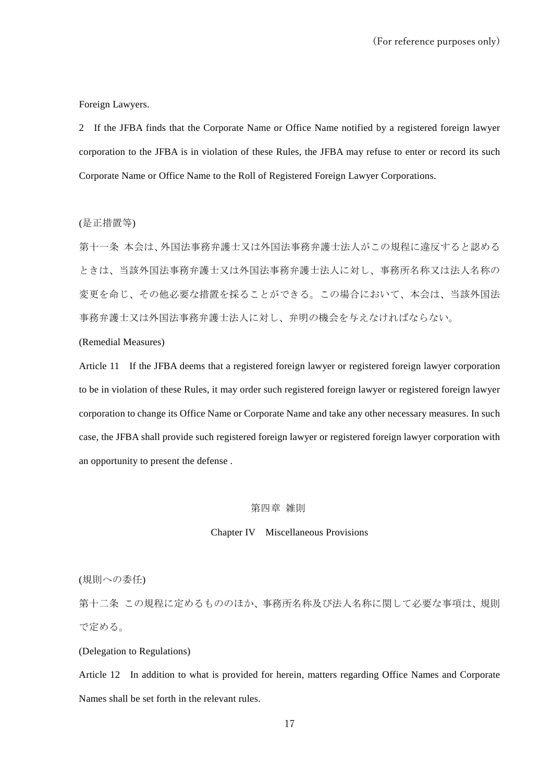Foreign Lawyers.

2 If the JFBA finds that the Corporate Name or Office Name notified by a registered foreign lawyer corporation to the JFBA is in violation of these Rules, the JFBA may refuse to enter or record its such Corporate Name or Office Name to the Roll of Registered Foreign Lawyer Corporations.

(是正措置等)

第十一条 本会は、外国法事務弁護士又は外国法事務弁護士法人がこの規程に違反すると認める ときは、当該外国法事務弁護士又は外国法事務弁護士法人に対し、事務所名称又は法人名称の 変更を命じ、その他必要な措置を採ることができる。この場合において、本会は、当該外国法 事務弁護士又は外国法事務弁護士法人に対し、弁明の機会を与えなければならない。

## (Remedial Measures)

Article 11 If the JFBA deems that a registered foreign lawyer or registered foreign lawyer corporation to be in violation of these Rules, it may order such registered foreign lawyer or registered foreign lawyer corporation to change its Office Name or Corporate Name and take any other necessary measures. In such case, the JFBA shall provide such registered foreign lawyer or registered foreign lawyer corporation with an opportunity to present the defense .

## 第四章 雑則

#### Chapter IV Miscellaneous Provisions

(規則への委任)

第十二条 この規程に定めるもののほか、事務所名称及び法人名称に関して必要な事項は、規則 で定める。

(Delegation to Regulations)

Article 12 In addition to what is provided for herein, matters regarding Office Names and Corporate Names shall be set forth in the relevant rules.